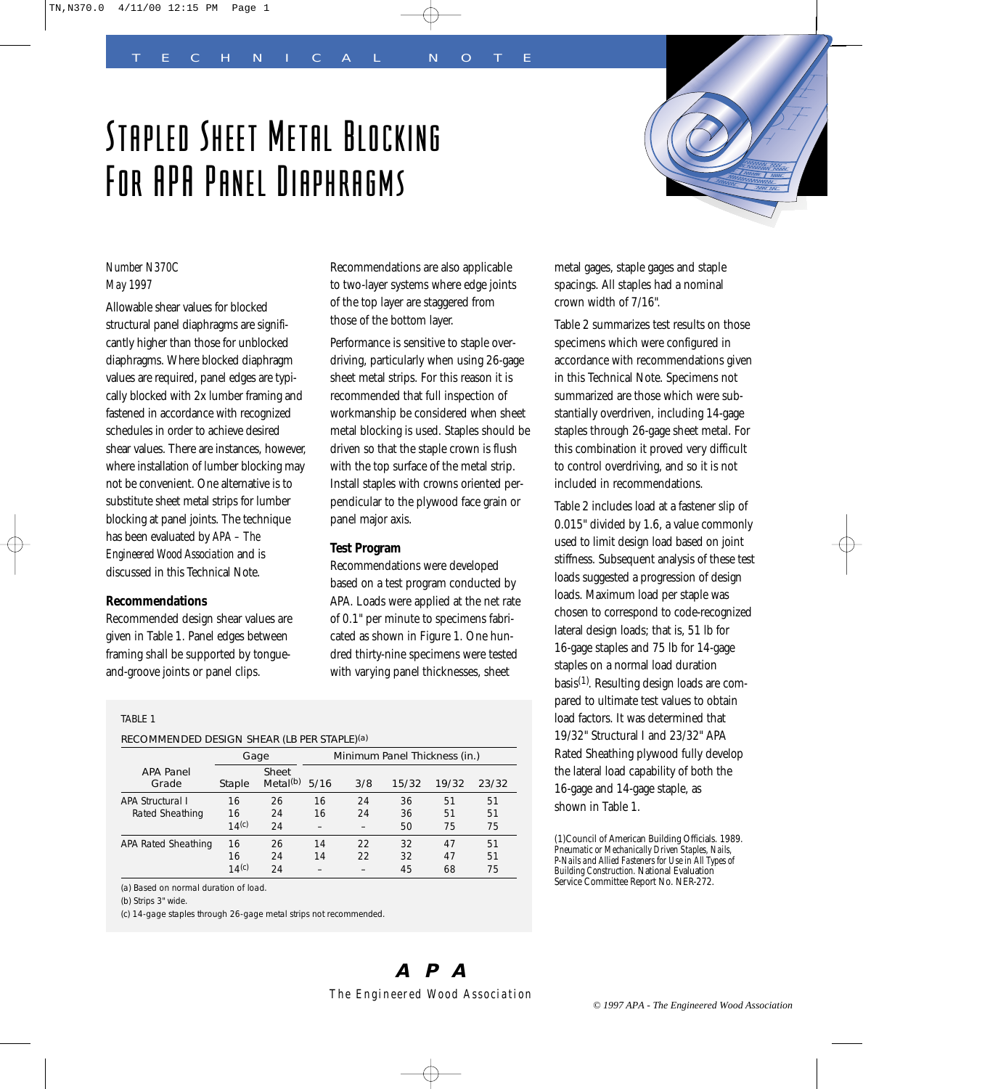# Stapled Sheet Metal Blocking For APA Panel Diaphragms



# *Number N370C May 1997*

Allowable shear values for blocked structural panel diaphragms are significantly higher than those for unblocked diaphragms. Where blocked diaphragm values are required, panel edges are typically blocked with 2x lumber framing and fastened in accordance with recognized schedules in order to achieve desired shear values. There are instances, however, where installation of lumber blocking may not be convenient. One alternative is to substitute sheet metal strips for lumber blocking at panel joints. The technique has been evaluated by *APA – The Engineered Wood Association* and is discussed in this Technical Note.

# **Recommendations**

Recommended design shear values are given in Table 1. Panel edges between framing shall be supported by tongueand-groove joints or panel clips.

Recommendations are also applicable to two-layer systems where edge joints of the top layer are staggered from those of the bottom layer.

Performance is sensitive to staple overdriving, particularly when using 26-gage sheet metal strips. For this reason it is recommended that full inspection of workmanship be considered when sheet metal blocking is used. Staples should be driven so that the staple crown is flush with the top surface of the metal strip. Install staples with crowns oriented perpendicular to the plywood face grain or panel major axis.

## **Test Program**

Recommendations were developed based on a test program conducted by APA. Loads were applied at the net rate of 0.1" per minute to specimens fabricated as shown in Figure 1. One hundred thirty-nine specimens were tested with varying panel thicknesses, sheet

metal gages, staple gages and staple spacings. All staples had a nominal crown width of 7/16".

Table 2 summarizes test results on those specimens which were configured in accordance with recommendations given in this Technical Note. Specimens not summarized are those which were substantially overdriven, including 14-gage staples through 26-gage sheet metal. For this combination it proved very difficult to control overdriving, and so it is not included in recommendations.

Table 2 includes load at a fastener slip of 0.015" divided by 1.6, a value commonly used to limit design load based on joint stiffness. Subsequent analysis of these test loads suggested a progression of design loads. Maximum load per staple was chosen to correspond to code-recognized lateral design loads; that is, 51 lb for 16-gage staples and 75 lb for 14-gage staples on a normal load duration basis(1). Resulting design loads are compared to ultimate test values to obtain load factors. It was determined that 19/32" Structural I and 23/32" APA Rated Sheathing plywood fully develop the lateral load capability of both the 16-gage and 14-gage staple, as shown in Table 1.

(1)Council of American Building Officials. 1989. *Pneumatic or Mechanically Driven Staples, Nails, P-Nails and Allied Fasteners for Use in All Types of Building Construction.* National Evaluation Service Committee Report No. NER-272.

## TABLE 1

## RECOMMENDED DESIGN SHEAR (LB PER STAPLE)(a)

|                           |                   | Gage                             | Minimum Panel Thickness (in.) |     |       |       |       |  |
|---------------------------|-------------------|----------------------------------|-------------------------------|-----|-------|-------|-------|--|
| <b>APA Panel</b><br>Grade | Staple            | <b>Sheet</b><br>Metal $(b)$ 5/16 |                               | 3/8 | 15/32 | 19/32 | 23/32 |  |
| <b>APA Structural I</b>   | 16                | 26                               | 16                            | 24  | 36    | 51    | 51    |  |
| Rated Sheathing           | 16                | 24                               | 16                            | 24  | 36    | 51    | 51    |  |
|                           | 14(c)             | 24                               |                               |     | 50    | 75    | 75    |  |
| APA Rated Sheathing       | 16                | 26                               | 14                            | 22  | 32    | 47    | 51    |  |
|                           | 16                | 24                               | 14                            | 22  | 32    | 47    | 51    |  |
|                           | 14 <sup>(c)</sup> | 24                               |                               |     | 45    | 68    | 75    |  |

(a) Based on normal duration of load.

(b) Strips 3" wide.

(c) 14-gage staples through 26-gage metal strips not recommended.